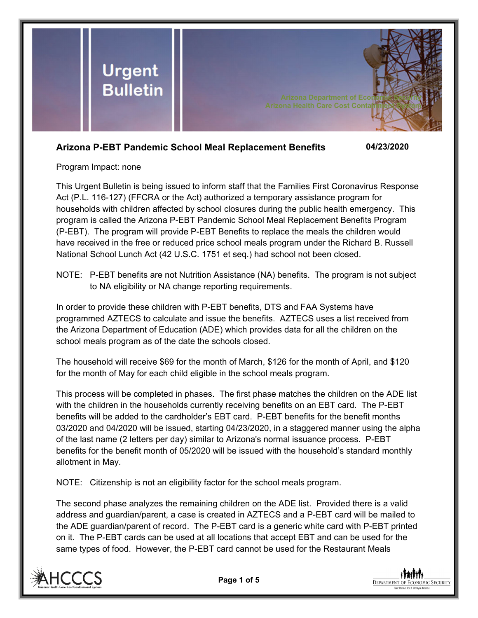

# **Arizona P-EBT Pandemic School Meal Replacement Benefits 04/23/2020**

Program Impact: none

This Urgent Bulletin is being issued to inform staff that the Families First Coronavirus Response Act (P.L. 116-127) (FFCRA or the Act) authorized a temporary assistance program for households with children affected by school closures during the public health emergency. This program is called the Arizona P-EBT Pandemic School Meal Replacement Benefits Program (P-EBT). The program will provide P-EBT Benefits to replace the meals the children would have received in the free or reduced price school meals program under the Richard B. Russell National School Lunch Act (42 U.S.C. 1751 et seq.) had school not been closed.

NOTE: P-EBT benefits are not Nutrition Assistance (NA) benefits. The program is not subject to NA eligibility or NA change reporting requirements.

In order to provide these children with P-EBT benefits, DTS and FAA Systems have programmed AZTECS to calculate and issue the benefits. AZTECS uses a list received from the Arizona Department of Education (ADE) which provides data for all the children on the school meals program as of the date the schools closed.

The household will receive \$69 for the month of March, \$126 for the month of April, and \$120 for the month of May for each child eligible in the school meals program.

This process will be completed in phases. The first phase matches the children on the ADE list with the children in the households currently receiving benefits on an EBT card. The P-EBT benefits will be added to the cardholder's EBT card. P-EBT benefits for the benefit months 03/2020 and 04/2020 will be issued, starting 04/23/2020, in a staggered manner using the alpha of the last name (2 letters per day) similar to Arizona's normal issuance process. P-EBT benefits for the benefit month of 05/2020 will be issued with the household's standard monthly allotment in May.

NOTE: Citizenship is not an eligibility factor for the school meals program.

The second phase analyzes the remaining children on the ADE list. Provided there is a valid address and guardian/parent, a case is created in AZTECS and a P-EBT card will be mailed to the ADE guardian/parent of record. The P-EBT card is a generic white card with P-EBT printed on it. The P-EBT cards can be used at all locations that accept EBT and can be used for the same types of food. However, the P-EBT card cannot be used for the Restaurant Meals



**DEPARTMENT OF ECONOMIC SECURITY**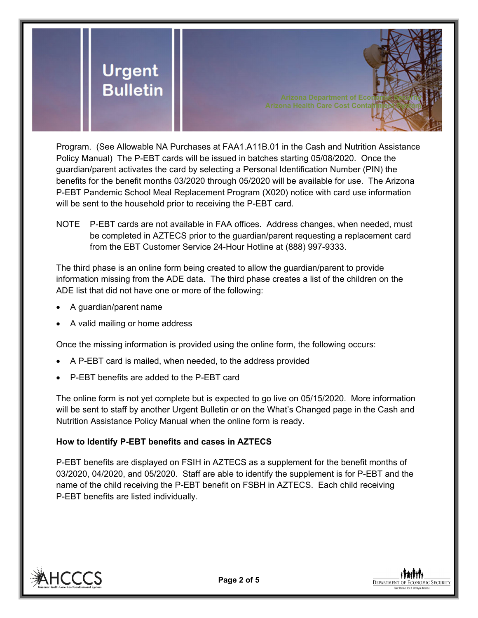

Program. (See Allowable NA Purchases at FAA1.A11B.01 in the Cash and Nutrition Assistance Policy Manual) The P-EBT cards will be issued in batches starting 05/08/2020. Once the guardian/parent activates the card by selecting a Personal Identification Number (PIN) the benefits for the benefit months 03/2020 through 05/2020 will be available for use. The Arizona P-EBT Pandemic School Meal Replacement Program (X020) notice with card use information will be sent to the household prior to receiving the P-EBT card.

NOTE P-EBT cards are not available in FAA offices. Address changes, when needed, must be completed in AZTECS prior to the guardian/parent requesting a replacement card from the EBT Customer Service 24-Hour Hotline at (888) 997-9333.

The third phase is an online form being created to allow the guardian/parent to provide information missing from the ADE data. The third phase creates a list of the children on the ADE list that did not have one or more of the following:

- A guardian/parent name
- A valid mailing or home address

Once the missing information is provided using the online form, the following occurs:

- A P-EBT card is mailed, when needed, to the address provided
- P-EBT benefits are added to the P-EBT card

The online form is not yet complete but is expected to go live on 05/15/2020. More information will be sent to staff by another Urgent Bulletin or on the What's Changed page in the Cash and Nutrition Assistance Policy Manual when the online form is ready.

### **How to Identify P-EBT benefits and cases in AZTECS**

P-EBT benefits are displayed on FSIH in AZTECS as a supplement for the benefit months of 03/2020, 04/2020, and 05/2020. Staff are able to identify the supplement is for P-EBT and the name of the child receiving the P-EBT benefit on FSBH in AZTECS. Each child receiving P-EBT benefits are listed individually.



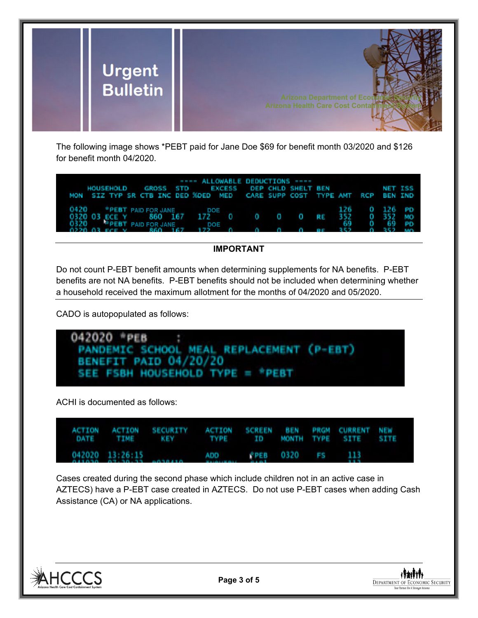

The following image shows \*PEBT paid for Jane Doe \$69 for benefit month 03/2020 and \$126 for benefit month 04/2020.

| HOUSEHOLD GROSS STD EXCESS DEP CHLD SHELT BEN NET ISS                                                                       | ---- ALLOWABLE DEDUCTIONS ---- |  |     |                         |  |
|-----------------------------------------------------------------------------------------------------------------------------|--------------------------------|--|-----|-------------------------|--|
| MON SIZ TYP SR CTB INC DED XDED MED CARE SUPP COST TYPE AMT RCP BEN IND                                                     |                                |  |     |                         |  |
| 0420 *PEBT PAID FOR JANE DOE<br>0320 03 ECE Y 860 167 172 0 0 0 0 RE 352 0 352 MO<br><b>EPERT PAID FOR JANE DOE</b><br>0320 |                                |  | -69 | 126 0 126 PD<br>0 69 PD |  |
| 0220.03 FCF V 860 167 172 0 0 0 0 0 PF 352                                                                                  |                                |  |     | $0.352$ MO              |  |

## **IMPORTANT**

Do not count P-EBT benefit amounts when determining supplements for NA benefits. P-EBT benefits are not NA benefits. P-EBT benefits should not be included when determining whether a household received the maximum allotment for the months of 04/2020 and 05/2020.

CADO is autopopulated as follows:



ACHI is documented as follows:

|  |                                  | ACTION ACTION SECURITY ACTION SCREEN BEN PRGM CURRENT NEW<br>DATE TIME KEY TYPE ID MONTH TYPE SITE SITE |                                                                                                                 |  |  |  |
|--|----------------------------------|---------------------------------------------------------------------------------------------------------|-----------------------------------------------------------------------------------------------------------------|--|--|--|
|  | $0.11030 - 0.7130133 - 0.030130$ | 042020 13:26:15 ADD PPEB 0320 FS 113                                                                    | the contract of the contract of the contract of the contract of the contract of the contract of the contract of |  |  |  |

Cases created during the second phase which include children not in an active case in AZTECS) have a P-EBT case created in AZTECS. Do not use P-EBT cases when adding Cash Assistance (CA) or NA applications.



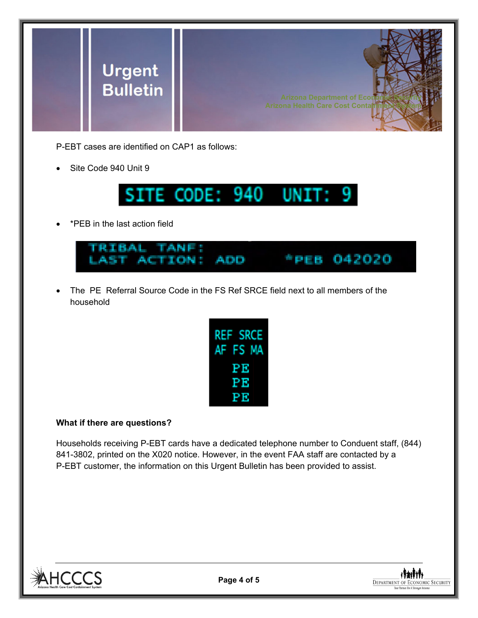

P-EBT cases are identified on CAP1 as follows:

Site Code 940 Unit 9



\*PEB in the last action field



 The PE Referral Source Code in the FS Ref SRCE field next to all members of the household

| <b>REF SRCE</b> |  |
|-----------------|--|
| AF FS MA        |  |
| PЕ              |  |
| РE              |  |
| PE              |  |

### **What if there are questions?**

Households receiving P-EBT cards have a dedicated telephone number to Conduent staff, (844) 841-3802, printed on the X020 notice. However, in the event FAA staff are contacted by a P-EBT customer, the information on this Urgent Bulletin has been provided to assist.